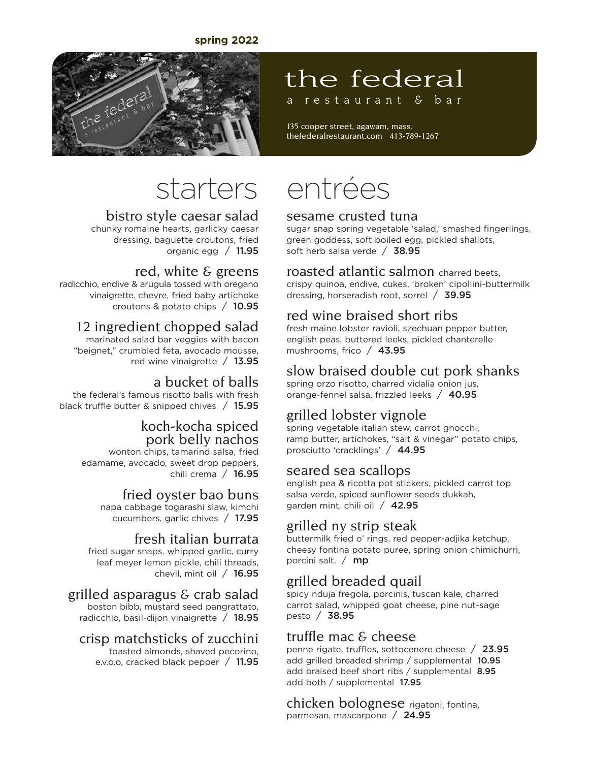#### **spring 2022**

### the federal a restaurant & bar

135 cooper street, agawam, mass. thefederalrestaurant.com 413-789-1267



#### bistro style caesar salad

chunky romaine hearts, garlicky caesar dressing, baguette croutons, fried organic egg  $/$  11.95

#### red, white  $\epsilon$  greens

radicchio, endive & arugula tossed with oregano vinaigrette, chevre, fried baby artichoke croutons & potato chips / 10.95

#### 12 ingredient chopped salad

marinated salad bar veggies with bacon "beignet," crumbled feta, avocado mousse, red wine vinaigrette  $/$  13.95

#### a bucket of balls

the federal's famous risotto balls with fresh black truffle butter & snipped chives / 15.95

#### koch-kocha spiced pork belly nachos

wonton chips, tamarind salsa, fried edamame, avocado, sweet drop peppers, chili crema / 16.95

#### fried oyster bao buns

napa cabbage togarashi slaw, kimchi cucumbers, garlic chives / 17.95

#### fresh italian burrata

fried sugar snaps, whipped garlic, curry leaf meyer lemon pickle, chili threads, chevil, mint oil / 16.95

#### grilled asparagus & crab salad

boston bibb, mustard seed pangrattato, radicchio, basil-dijon vinaigrette  $/$  18.95

#### crisp matchsticks of zucchini

toasted almonds, shaved pecorino, e.v.o.o, cracked black pepper / 11.95

# starters entrées

#### sesame crusted tuna

sugar snap spring vegetable 'salad,' smashed fingerlings, green goddess, soft boiled egg, pickled shallots, soft herb salsa verde / 38.95

#### roasted atlantic salmon charred beets,

crispy quinoa, endive, cukes, 'broken' cipollini-buttermilk dressing, horseradish root, sorrel / 39.95

#### red wine braised short ribs

fresh maine lobster ravioli, szechuan pepper butter, english peas, buttered leeks, pickled chanterelle mushrooms, frico / 43.95

#### slow braised double cut pork shanks

spring orzo risotto, charred vidalia onion jus, orange-fennel salsa, frizzled leeks / 40.95

#### grilled lobster vignole

spring vegetable italian stew, carrot gnocchi, ramp butter, artichokes, "salt & vinegar" potato chips, prosciutto 'cracklings' / 44.95

#### seared sea scallops

english pea & ricotta pot stickers, pickled carrot top salsa verde, spiced sunflower seeds dukkah, garden mint, chili oil  $/$  42.95

#### grilled ny strip steak

buttermilk fried o' rings, red pepper-adjika ketchup, cheesy fontina potato puree, spring onion chimichurri, porcini salt.  $/$  mp

#### grilled breaded quail

spicy nduja fregola, porcinis, tuscan kale, charred carrot salad, whipped goat cheese, pine nut-sage pesto / 38.95

#### truffle mac  $\epsilon$  cheese

penne rigate, truffles, sottocenere cheese / 23.95 add grilled breaded shrimp / supplemental 10.95 add braised beef short ribs / supplemental 8.95 add both / supplemental 17.95

chicken bolognese rigatoni, fontina, parmesan, mascarpone / 24.95